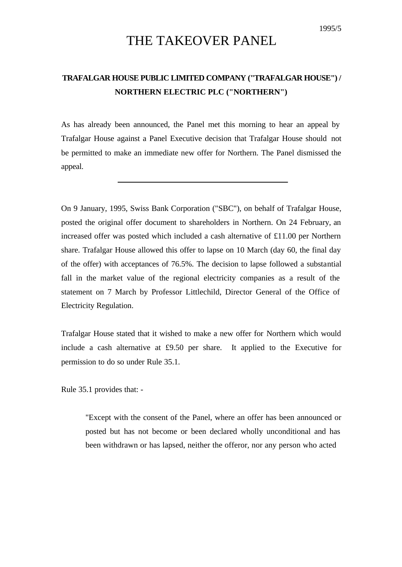## THE TAKEOVER PANEL

## **TRAFALGAR HOUSE PUBLIC LIMITED COMPANY ("TRAFALGAR HOUSE") / NORTHERN ELECTRIC PLC ("NORTHERN")**

As has already been announced, the Panel met this morning to hear an appeal by Trafalgar House against a Panel Executive decision that Trafalgar House should not be permitted to make an immediate new offer for Northern. The Panel dismissed the appeal.

On 9 January, 1995, Swiss Bank Corporation ("SBC"), on behalf of Trafalgar House, posted the original offer document to shareholders in Northern. On 24 February, an increased offer was posted which included a cash alternative of £11.00 per Northern share. Trafalgar House allowed this offer to lapse on 10 March (day 60, the final day of the offer) with acceptances of 76.5%. The decision to lapse followed a substantial fall in the market value of the regional electricity companies as a result of the statement on 7 March by Professor Littlechild, Director General of the Office of Electricity Regulation.

Trafalgar House stated that it wished to make a new offer for Northern which would include a cash alternative at £9.50 per share. It applied to the Executive for permission to do so under Rule 35.1.

Rule 35.1 provides that: -

"Except with the consent of the Panel, where an offer has been announced or posted but has not become or been declared wholly unconditional and has been withdrawn or has lapsed, neither the offeror, nor any person who acted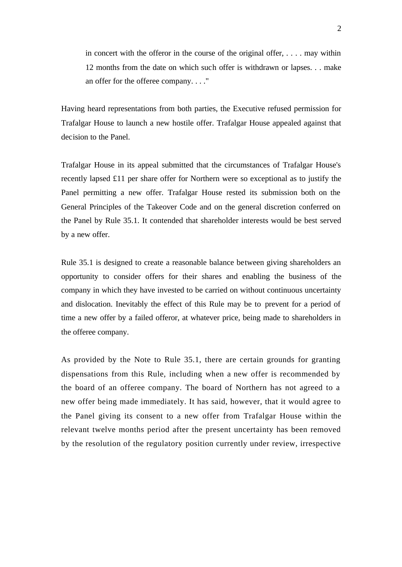in concert with the offeror in the course of the original offer, . . . . may within 12 months from the date on which such offer is withdrawn or lapses. . . make an offer for the offeree company. . . ."

Having heard representations from both parties, the Executive refused permission for Trafalgar House to launch a new hostile offer. Trafalgar House appealed against that decision to the Panel.

Trafalgar House in its appeal submitted that the circumstances of Trafalgar House's recently lapsed £11 per share offer for Northern were so exceptional as to justify the Panel permitting a new offer. Trafalgar House rested its submission both on the General Principles of the Takeover Code and on the general discretion conferred on the Panel by Rule 35.1. It contended that shareholder interests would be best served by a new offer.

Rule 35.1 is designed to create a reasonable balance between giving shareholders an opportunity to consider offers for their shares and enabling the business of the company in which they have invested to be carried on without continuous uncertainty and dislocation. Inevitably the effect of this Rule may be to prevent for a period of time a new offer by a failed offeror, at whatever price, being made to shareholders in the offeree company.

As provided by the Note to Rule 35.1, there are certain grounds for granting dispensations from this Rule, including when a new offer is recommended by the board of an offeree company. The board of Northern has not agreed to a new offer being made immediately. It has said, however, that it would agree to the Panel giving its consent to a new offer from Trafalgar House within the relevant twelve months period after the present uncertainty has been removed by the resolution of the regulatory position currently under review, irrespective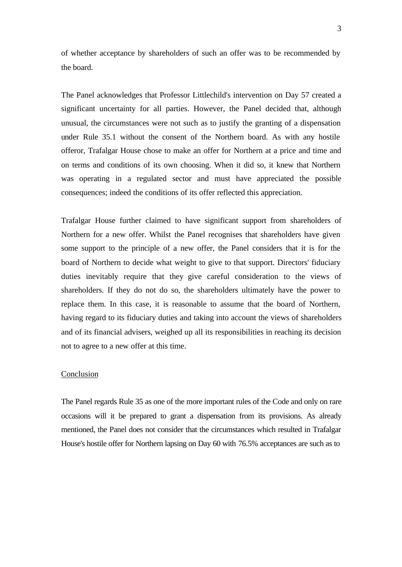of whether acceptance by shareholders of such an offer was to be recommended by the board.

The Panel acknowledges that Professor Littlechild's intervention on Day 57 created a significant uncertainty for all parties. However, the Panel decided that, although unusual, the circumstances were not such as to justify the granting of a dispensation under Rule 35.1 without the consent of the Northern board. As with any hostile offeror, Trafalgar House chose to make an offer for Northern at a price and time and on terms and conditions of its own choosing. When it did so, it knew that Northern was operating in a regulated sector and must have appreciated the possible consequences; indeed the conditions of its offer reflected this appreciation.

Trafalgar House further claimed to have significant support from shareholders of Northern for a new offer. Whilst the Panel recognises that shareholders have given some support to the principle of a new offer, the Panel considers that it is for the board of Northern to decide what weight to give to that support. Directors' fiduciary duties inevitably require that they give careful consideration to the views of shareholders. If they do not do so, the shareholders ultimately have the power to replace them. In this case, it is reasonable to assume that the board of Northern, having regard to its fiduciary duties and taking into account the views of shareholders and of its financial advisers, weighed up all its responsibilities in reaching its decision not to agree to a new offer at this time.

## Conclusion

The Panel regards Rule 35 as one of the more important rules of the Code and only on rare occasions will it be prepared to grant a dispensation from its provisions. As already mentioned, the Panel does not consider that the circumstances which resulted in Trafalgar House's hostile offer for Northern lapsing on Day 60 with 76.5% acceptances are such as to